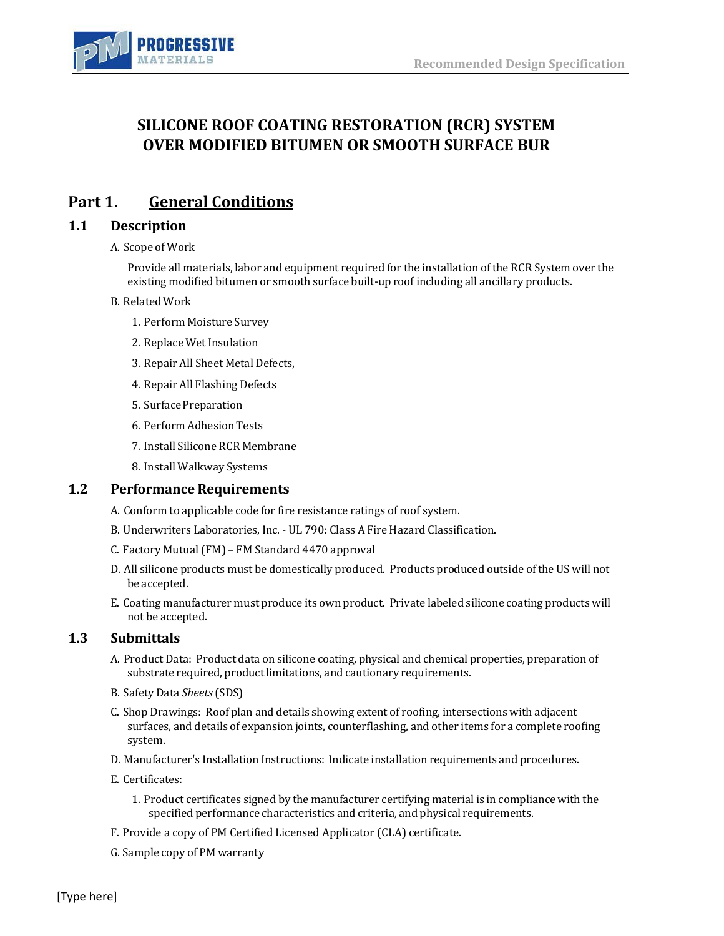

# **SILICONE ROOF COATING RESTORATION (RCR) SYSTEM OVER MODIFIED BITUMEN OR SMOOTH SURFACE BUR**

# **Part 1. General Conditions**

## **1.1 Description**

### A. Scope of Work

Provide all materials, labor and equipment required for the installation of the RCR System over the existing modified bitumen or smooth surface built-up roof including all ancillary products.

### B. RelatedWork

- 1. Perform Moisture Survey
- 2. Replace Wet Insulation
- 3. Repair All Sheet Metal Defects,
- 4. Repair All Flashing Defects
- 5. Surface Preparation
- 6. Perform Adhesion Tests
- 7. Install Silicone RCR Membrane
- 8. Install Walkway Systems

### **1.2** Performance Requirements

- A. Conform to applicable code for fire resistance ratings of roof system.
- B. Underwriters Laboratories, Inc. UL 790: Class A Fire Hazard Classification.
- C. Factory Mutual(FM) FM Standard 4470 approval
- D. All silicone products must be domestically produced. Products produced outside of the US will not be accepted.
- E. Coating manufacturer must produce its own product. Private labeled silicone coating products will not be accepted.

## **1.3 Submittals**

- A. Product Data: Product data on silicone coating, physical and chemical properties, preparation of substrate required, product limitations, and cautionary requirements.
- B. Safety Data *Sheets*(SDS)
- C. Shop Drawings: Roof plan and details showing extent of roofing, intersections with adjacent surfaces, and details of expansion joints, counterflashing, and other items for a complete roofing system.
- D. Manufacturer's Installation Instructions: Indicate installation requirements and procedures.
- E. Certificates:
	- 1. Product certificates signed by the manufacturer certifying material is in compliance with the specified performance characteristics and criteria, and physical requirements.
- F. Provide a copy of PM Certified Licensed Applicator (CLA) certificate.
- G. Sample copy of PM warranty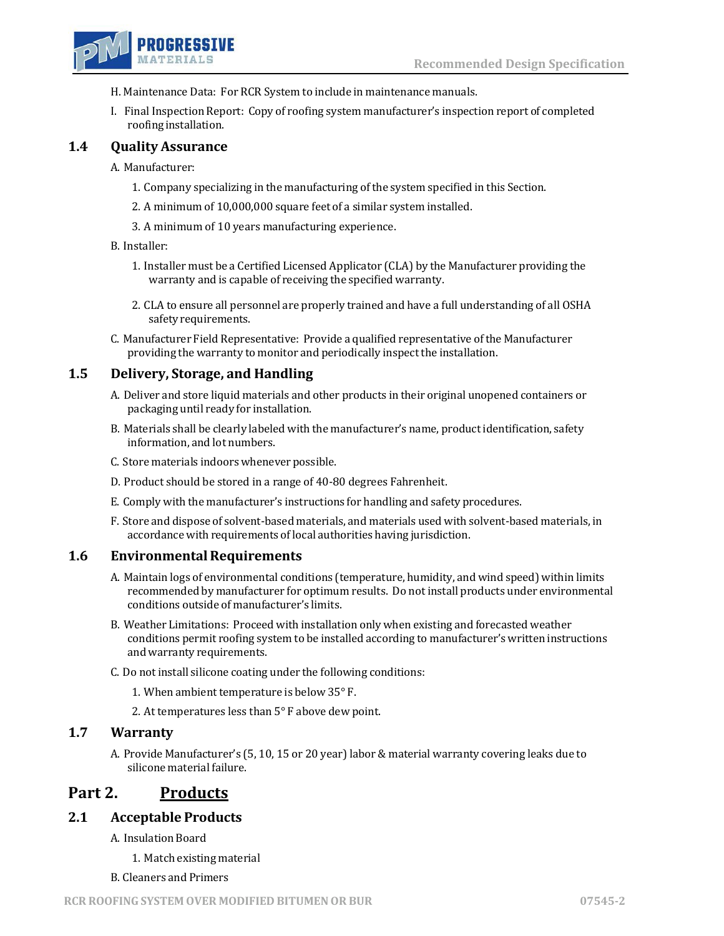

- H. Maintenance Data: For RCR System to include in maintenance manuals.
- I. Final Inspection Report: Copy of roofing system manufacturer's inspection report of completed roofing installation.

## **1.4 Quality Assurance**

A. Manufacturer:

- 1. Company specializing in the manufacturing of the system specified in this Section.
- 2. A minimum of 10,000,000 square feet of a similar system installed.
- 3. A minimum of 10 years manufacturing experience.

### B. Installer:

- 1. Installer must be a Certified Licensed Applicator (CLA) by the Manufacturer providing the warranty and is capable of receiving the specified warranty.
- 2. CLA to ensure all personnel are properly trained and have a full understanding of all OSHA safetyrequirements.
- C. Manufacturer Field Representative: Provide a qualified representative ofthe Manufacturer providing the warranty to monitor and periodically inspect the installation.

## **1.5 Delivery, Storage, and Handling**

- A. Deliver and store liquid materials and other products in their original unopened containers or packaging until ready for installation.
- B. Materials shall be clearly labeled with the manufacturer's name, product identification, safety information, and lot numbers.
- C. Store materials indoors whenever possible.
- D. Product should be stored in a range of 40-80 degrees Fahrenheit.
- E. Comply with the manufacturer's instructions for handling and safety procedures.
- F. Store and dispose of solvent-based materials, and materials used with solvent-based materials, in accordance with requirements of local authorities having jurisdiction.

### **1.6 Environmental Requirements**

- A. Maintain logs of environmental conditions (temperature, humidity, and wind speed) within limits recommended by manufacturer for optimum results. Do not install products under environmental conditions outside of manufacturer's limits.
- B. Weather Limitations: Proceed with installation only when existing and forecasted weather conditions permit roofing system to be installed according to manufacturer's written instructions and warranty requirements.
- C. Do not install silicone coating under the following conditions:
	- 1. When ambient temperature is below 35° F.
	- 2. At temperatures less than 5° F above dew point.

### **1.7 Warranty**

A. Provide Manufacturer's (5, 10, 15 or 20 year) labor & material warranty covering leaks due to silicone material failure.

## **Part 2. Products**

### **2.1 Acceptable Products**

- A. Insulation Board
	- 1. Match existing material
- B. Cleaners and Primers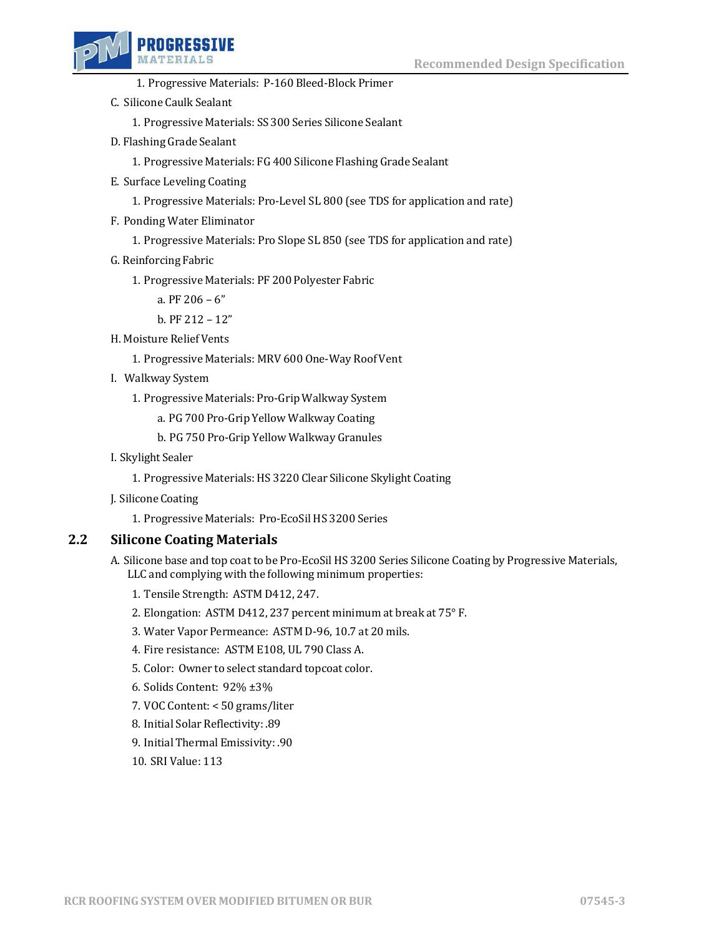



- 1. Progressive Materials: P-160 Bleed-Block Primer
- C. Silicone Caulk Sealant
	- 1. Progressive Materials: SS 300 Series Silicone Sealant
- D. Flashing Grade Sealant
	- 1. Progressive Materials: FG 400 Silicone Flashing Grade Sealant
- E. Surface Leveling Coating
	- 1. Progressive Materials: Pro-Level SL 800 (see TDS for application and rate)
- F. Ponding Water Eliminator
	- 1. Progressive Materials: Pro Slope SL 850 (see TDS for application and rate)
- G. Reinforcing Fabric
	- 1. Progressive Materials: PF 200 Polyester Fabric

a. PF 206 – 6"

b. PF 212 – 12"

- H. Moisture Relief Vents
	- 1. Progressive Materials: MRV 600 One-Way Roof Vent
- I. Walkway System
	- 1. Progressive Materials: Pro-Grip Walkway System
		- a. PG 700 Pro-Grip Yellow Walkway Coating
		- b. PG 750 Pro-Grip Yellow Walkway Granules
- I. Skylight Sealer
	- 1. Progressive Materials: HS 3220 Clear Silicone Skylight Coating
- J. Silicone Coating
	- 1. Progressive Materials: Pro-EcoSil HS 3200 Series

## **2.2 Silicone Coating Materials**

- A. Silicone base and top coat to be Pro-EcoSil HS 3200 Series Silicone Coating by Progressive Materials, LLC and complying with the following minimum properties:
	- 1. Tensile Strength: ASTM D412, 247.
	- 2. Elongation: ASTM D412, 237 percent minimum at break at 75° F.
	- 3. Water Vapor Permeance: ASTM D-96, 10.7 at 20 mils.
	- 4. Fire resistance: ASTM E108, UL 790 Class A.
	- 5. Color: Owner to select standard topcoat color.
	- 6. Solids Content: 92% ±3%
	- 7. VOC Content: < 50 grams/liter
	- 8. Initial Solar Reflectivity: .89
	- 9. Initial Thermal Emissivity: .90
	- 10. SRI Value: 113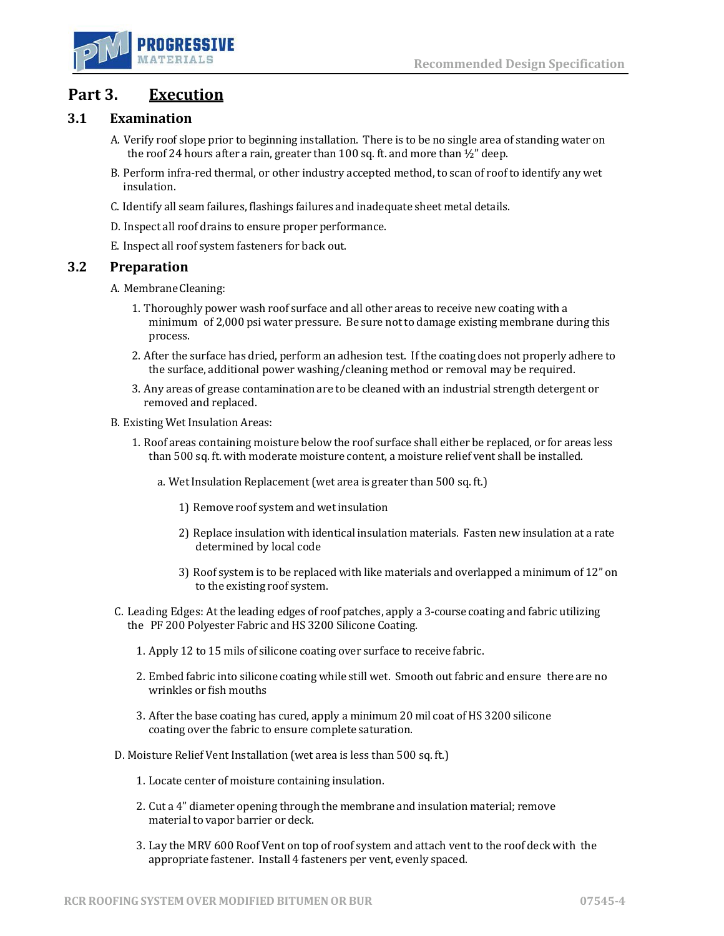

# **Part 3. Execution**

## **3.1 Examination**

- A. Verify roof slope prior to beginning installation. There is to be no single area of standing water on the roof 24 hours after a rain, greater than 100 sq. ft. and more than  $\frac{1}{2}$ " deep.
- B. Perform infra-red thermal, or other industry accepted method, to scan of roof to identify any wet insulation.
- C. Identify all seam failures, flashings failures and inadequate sheet metal details.
- D. Inspect all roof drains to ensure proper performance.
- E. Inspect all roof system fasteners for back out.

### **3.2 Preparation**

- A. MembraneCleaning:
	- 1. Thoroughly power wash roof surface and all other areas to receive new coating with a minimum of 2,000 psi water pressure. Be sure not to damage existing membrane during this process.
	- 2. After the surface has dried, perform an adhesion test. If the coating does not properly adhere to the surface, additional power washing/cleaning method or removal may be required.
	- 3. Any areas of grease contamination are to be cleaned with an industrial strength detergent or removed and replaced.
- B. Existing Wet Insulation Areas:
	- 1. Roof areas containing moisture below the roof surface shall either be replaced, or for areas less than 500 sq. ft. with moderate moisture content, a moisture relief vent shall be installed.
		- a. Wet Insulation Replacement (wet area is greater than 500 sq. ft.)
			- 1) Remove roof system and wet insulation
			- 2) Replace insulation with identical insulation materials. Fasten new insulation at a rate determined by local code
			- 3) Roof system is to be replaced with like materials and overlapped a minimum of 12" on to the existing roof system.
- C. Leading Edges: At the leading edges of roof patches, apply a 3-course coating and fabric utilizing the PF 200 Polyester Fabric and HS 3200 Silicone Coating.
	- 1. Apply 12 to 15 mils of silicone coating over surface to receive fabric.
	- 2. Embed fabric into silicone coating while still wet. Smooth out fabric and ensure there are no wrinkles or fish mouths
	- 3. After the base coating has cured, apply a minimum 20 mil coat of HS 3200 silicone coating over the fabric to ensure complete saturation.
- D. Moisture Relief Vent Installation (wet area is less than 500 sq. ft.)
	- 1. Locate center of moisture containing insulation.
	- 2. Cut a 4" diameter opening through the membrane and insulation material; remove material to vapor barrier or deck.
	- 3. Lay the MRV 600 Roof Vent on top of roof system and attach vent to the roof deck with the appropriate fastener. Install 4 fasteners per vent, evenly spaced.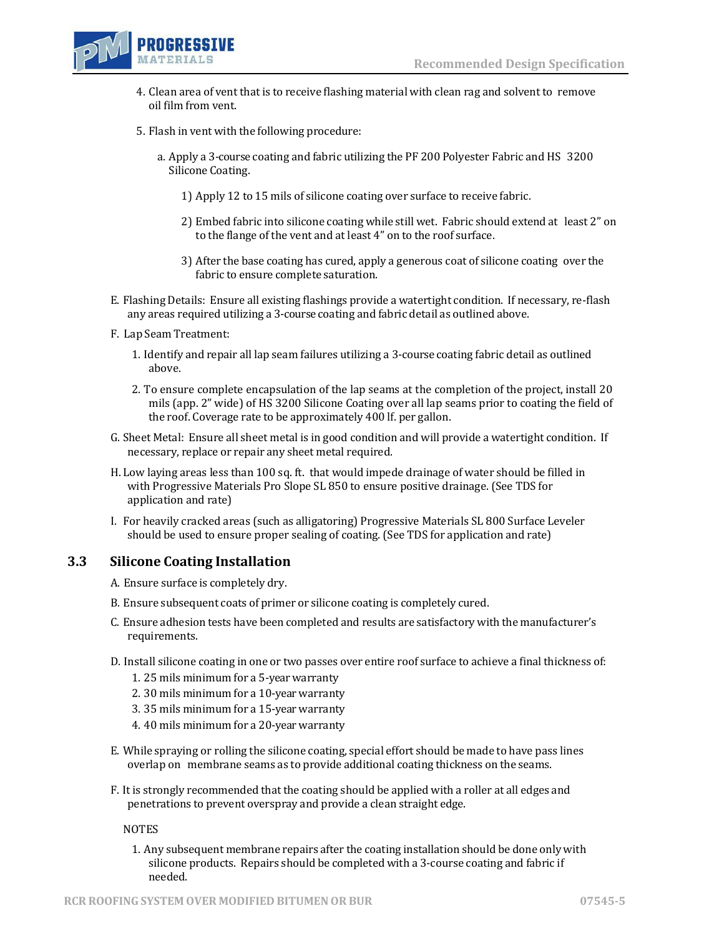

- 4. Clean area of vent that is to receive flashing material with clean rag and solvent to remove oil film from vent.
- 5. Flash in vent with the following procedure:
	- a. Apply a 3-course coating and fabric utilizing the PF 200 Polyester Fabric and HS 3200 Silicone Coating.
		- 1) Apply 12 to 15 mils of silicone coating over surface to receive fabric.
		- 2) Embed fabric into silicone coating while still wet. Fabric should extend at least 2" on to the flange of the vent and at least 4" on to the roof surface.
		- 3) After the base coating has cured, apply a generous coat of silicone coating over the fabric to ensure complete saturation.
- E. Flashing Details: Ensure all existing flashings provide a watertight condition. If necessary, re-flash any areas required utilizing a 3-course coating and fabric detail as outlined above.
- F. Lap Seam Treatment:
	- 1. Identify and repair all lap seam failures utilizing a 3-course coating fabric detail as outlined above.
	- 2. To ensure complete encapsulation of the lap seams at the completion of the project, install 20 mils (app. 2" wide) of HS 3200 Silicone Coating over all lap seams prior to coating the field of the roof. Coverage rate to be approximately 400 lf. per gallon.
- G. Sheet Metal: Ensure all sheet metal is in good condition and will provide a watertight condition. If necessary, replace or repair any sheet metal required.
- H. Low laying areas less than 100 sq. ft. that would impede drainage of water should be filled in with Progressive Materials Pro Slope SL 850 to ensure positive drainage. (See TDS for application and rate)
- I. For heavily cracked areas (such as alligatoring) Progressive Materials SL 800 Surface Leveler should be used to ensure proper sealing of coating. (See TDS for application and rate)

## **3.3 Silicone Coating Installation**

- A. Ensure surface is completely dry.
- B. Ensure subsequent coats of primer or silicone coating is completely cured.
- C. Ensure adhesion tests have been completed and results are satisfactory with the manufacturer's requirements.
- D. Install silicone coating in one or two passes over entire roof surface to achieve a final thickness of:
	- 1. 25 mils minimum for a 5-year warranty
	- 2. 30 mils minimum for a 10-year warranty
	- 3. 35 mils minimum for a 15-year warranty
	- 4. 40 mils minimum for a 20-year warranty
- E. While spraying or rolling the silicone coating, special effort should be made to have pass lines overlap on membrane seams as to provide additional coating thickness on the seams.
- F. It is strongly recommended that the coating should be applied with a roller at all edges and penetrations to prevent overspray and provide a clean straight edge.

NOTES

1. Any subsequent membrane repairs after the coating installation should be done only with silicone products. Repairs should be completed with a 3-course coating and fabric if needed.